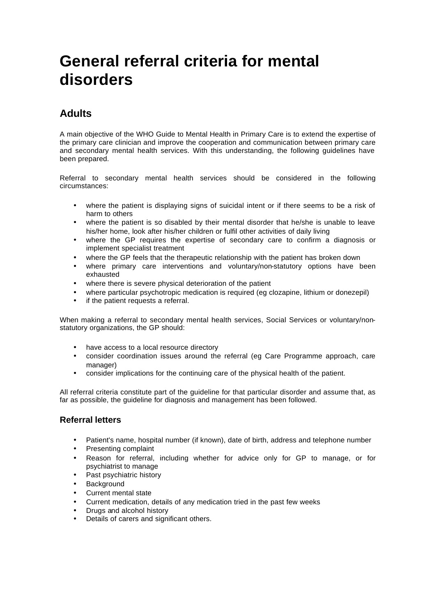# **General referral criteria for mental disorders**

## **Adults**

A main objective of the WHO Guide to Mental Health in Primary Care is to extend the expertise of the primary care clinician and improve the cooperation and communication between primary care and secondary mental health services. With this understanding, the following guidelines have been prepared.

Referral to secondary mental health services should be considered in the following circumstances:

- where the patient is displaying signs of suicidal intent or if there seems to be a risk of harm to others
- where the patient is so disabled by their mental disorder that he/she is unable to leave his/her home, look after his/her children or fulfil other activities of daily living
- where the GP requires the expertise of secondary care to confirm a diagnosis or implement specialist treatment
- where the GP feels that the therapeutic relationship with the patient has broken down
- where primary care interventions and voluntary/non-statutory options have been exhausted
- where there is severe physical deterioration of the patient
- where particular psychotropic medication is required (eg clozapine, lithium or donezepil)
- if the patient requests a referral.

When making a referral to secondary mental health services, Social Services or voluntary/nonstatutory organizations, the GP should:

- have access to a local resource directory
- consider coordination issues around the referral (eg Care Programme approach, care manager)
- consider implications for the continuing care of the physical health of the patient.

All referral criteria constitute part of the guideline for that particular disorder and assume that, as far as possible, the guideline for diagnosis and management has been followed.

### **Referral letters**

- Patient's name, hospital number (if known), date of birth, address and telephone number
- Presenting complaint
- Reason for referral, including whether for advice only for GP to manage, or for psychiatrist to manage
- Past psychiatric history
- **Background**
- Current mental state
- Current medication, details of any medication tried in the past few weeks
- Drugs and alcohol history
- Details of carers and significant others.